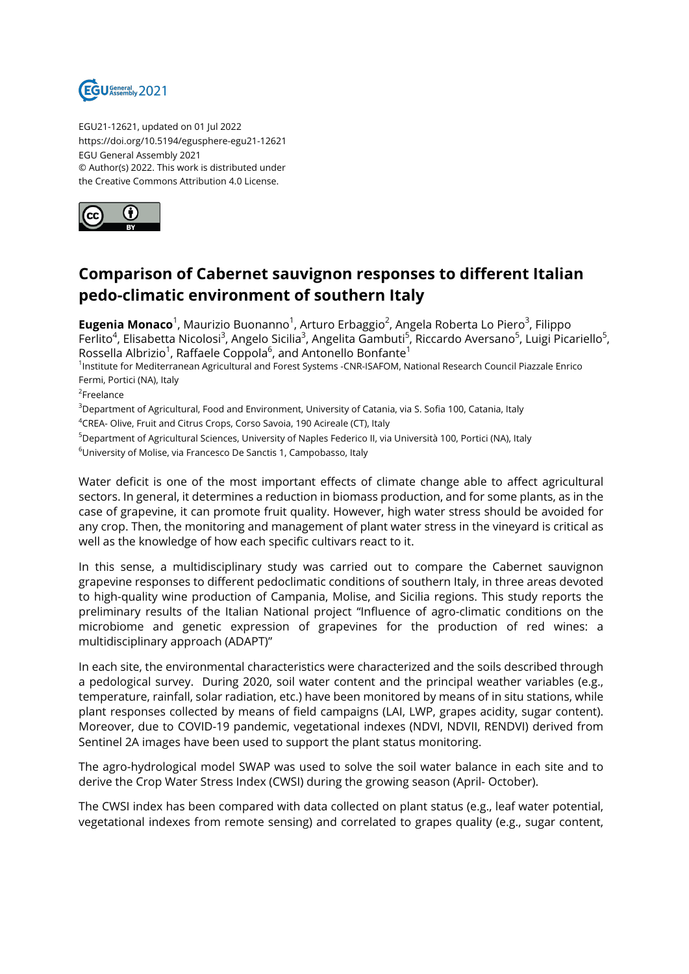

EGU21-12621, updated on 01 Jul 2022 https://doi.org/10.5194/egusphere-egu21-12621 EGU General Assembly 2021 © Author(s) 2022. This work is distributed under the Creative Commons Attribution 4.0 License.



## **Comparison of Cabernet sauvignon responses to different Italian pedo-climatic environment of southern Italy**

**Eugenia Monaco**<sup>1</sup>, Maurizio Buonanno<sup>1</sup>, Arturo Erbaggio<sup>2</sup>, Angela Roberta Lo Piero<sup>3</sup>, Filippo Ferlito<sup>4</sup>, Elisabetta Nicolosi<sup>3</sup>, Angelo Sicilia<sup>3</sup>, Angelita Gambuti<sup>5</sup>, Riccardo Aversano<sup>5</sup>, Luigi Picariello<sup>5</sup>, Rossella Albrizio $^{\rm 1}$ , Raffaele Coppola $^{\rm 6}$ , and Antonello Bonfante $^{\rm 1}$ 

1 Institute for Mediterranean Agricultural and Forest Systems -CNR-ISAFOM, National Research Council Piazzale Enrico Fermi, Portici (NA), Italy

<sup>2</sup>Freelance

<sup>3</sup>Department of Agricultural, Food and Environment, University of Catania, via S. Sofia 100, Catania, Italy

<sup>4</sup>CREA- Olive, Fruit and Citrus Crops, Corso Savoia, 190 Acireale (CT), Italy

<sup>5</sup>Department of Agricultural Sciences, University of Naples Federico II, via Università 100, Portici (NA), Italy

 $6$ University of Molise, via Francesco De Sanctis 1, Campobasso, Italy

Water deficit is one of the most important effects of climate change able to affect agricultural sectors. In general, it determines a reduction in biomass production, and for some plants, as in the case of grapevine, it can promote fruit quality. However, high water stress should be avoided for any crop. Then, the monitoring and management of plant water stress in the vineyard is critical as well as the knowledge of how each specific cultivars react to it.

In this sense, a multidisciplinary study was carried out to compare the Cabernet sauvignon grapevine responses to different pedoclimatic conditions of southern Italy, in three areas devoted to high-quality wine production of Campania, Molise, and Sicilia regions. This study reports the preliminary results of the Italian National project "Influence of agro-climatic conditions on the microbiome and genetic expression of grapevines for the production of red wines: a multidisciplinary approach (ADAPT)"

In each site, the environmental characteristics were characterized and the soils described through a pedological survey. During 2020, soil water content and the principal weather variables (e.g., temperature, rainfall, solar radiation, etc.) have been monitored by means of in situ stations, while plant responses collected by means of field campaigns (LAI, LWP, grapes acidity, sugar content). Moreover, due to COVID-19 pandemic, vegetational indexes (NDVI, NDVII, RENDVI) derived from Sentinel 2A images have been used to support the plant status monitoring.

The agro-hydrological model SWAP was used to solve the soil water balance in each site and to derive the Crop Water Stress Index (CWSI) during the growing season (April- October).

The CWSI index has been compared with data collected on plant status (e.g., leaf water potential, vegetational indexes from remote sensing) and correlated to grapes quality (e.g., sugar content,